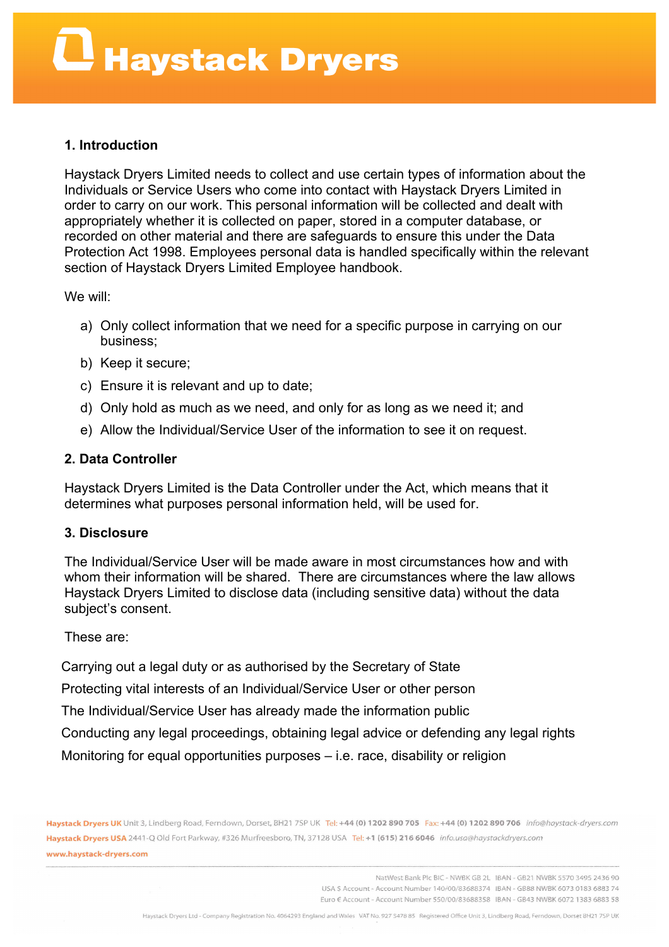### **1. Introduction**

Haystack Dryers Limited needs to collect and use certain types of information about the Individuals or Service Users who come into contact with Haystack Dryers Limited in order to carry on our work. This personal information will be collected and dealt with appropriately whether it is collected on paper, stored in a computer database, or recorded on other material and there are safeguards to ensure this under the Data Protection Act 1998. Employees personal data is handled specifically within the relevant section of Haystack Dryers Limited Employee handbook.

We will:

- a) Only collect information that we need for a specific purpose in carrying on our business;
- b) Keep it secure;
- c) Ensure it is relevant and up to date;
- d) Only hold as much as we need, and only for as long as we need it; and
- e) Allow the Individual/Service User of the information to see it on request.

#### **2. Data Controller**

Haystack Dryers Limited is the Data Controller under the Act, which means that it determines what purposes personal information held, will be used for.

#### **3. Disclosure**

The Individual/Service User will be made aware in most circumstances how and with whom their information will be shared. There are circumstances where the law allows Haystack Dryers Limited to disclose data (including sensitive data) without the data subject's consent.

These are:

Carrying out a legal duty or as authorised by the Secretary of State

Protecting vital interests of an Individual/Service User or other person

The Individual/Service User has already made the information public

Conducting any legal proceedings, obtaining legal advice or defending any legal rights

Monitoring for equal opportunities purposes  $-$  i.e. race, disability or religion

Haystack Dryers UK Unit 3, Lindberg Road, Ferndown, Dorset, BH21 7SP UK Tel: +44 (0) 1202 890 705 Fax: +44 (0) 1202 890 706 info@haystack-dryers.com Haystack Dryers USA 2441-Q Old Fort Parkway, #326 Murfreesboro, TN, 37128 USA Tel: +1 (615) 216 6046 info.usa@haystackdryers.com www.haystack-dryers.com

> NatWest Bank Plc BIC - NWBK GB 2L IBAN - GB21 NWBK 5570 3495 2436 90 USA S Account - Account Number 140/00/83688374 IBAN - GB88 NWBK 6073 0183 6883 74 Euro € Account - Account Number 550/00/83688358 IBAN - GB43 NWBK 6072 1383 6883 58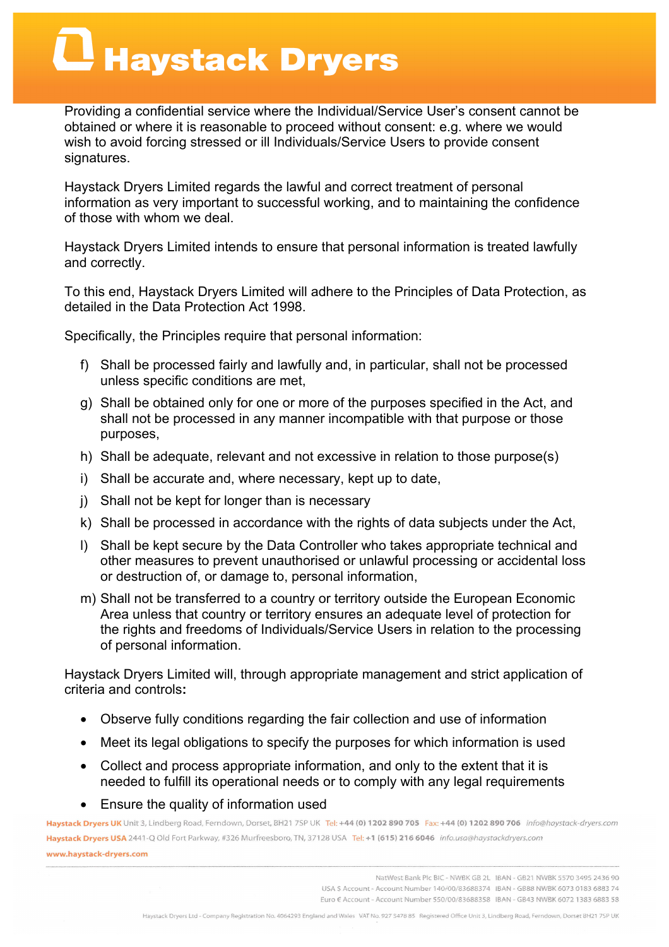### $\mathbf \Omega$  Haystack Dryers

Providing a confidential service where the Individual/Service User's consent cannot be obtained or where it is reasonable to proceed without consent: e.g. where we would wish to avoid forcing stressed or ill Individuals/Service Users to provide consent signatures.

Haystack Dryers Limited regards the lawful and correct treatment of personal information as very important to successful working, and to maintaining the confidence of those with whom we deal.

Haystack Dryers Limited intends to ensure that personal information is treated lawfully and correctly.

To this end, Haystack Dryers Limited will adhere to the Principles of Data Protection, as detailed in the Data Protection Act 1998.

Specifically, the Principles require that personal information:

- f) Shall be processed fairly and lawfully and, in particular, shall not be processed unless specific conditions are met,
- g) Shall be obtained only for one or more of the purposes specified in the Act, and shall not be processed in any manner incompatible with that purpose or those purposes,
- h) Shall be adequate, relevant and not excessive in relation to those purpose(s)
- i) Shall be accurate and, where necessary, kept up to date,
- j) Shall not be kept for longer than is necessary
- k) Shall be processed in accordance with the rights of data subjects under the Act,
- l) Shall be kept secure by the Data Controller who takes appropriate technical and other measures to prevent unauthorised or unlawful processing or accidental loss or destruction of, or damage to, personal information,
- m) Shall not be transferred to a country or territory outside the European Economic Area unless that country or territory ensures an adequate level of protection for the rights and freedoms of Individuals/Service Users in relation to the processing of personal information.

Haystack Dryers Limited will, through appropriate management and strict application of criteria and controls**:**

- Observe fully conditions regarding the fair collection and use of information
- Meet its legal obligations to specify the purposes for which information is used
- Collect and process appropriate information, and only to the extent that it is needed to fulfill its operational needs or to comply with any legal requirements
- Ensure the quality of information used

Haystack Dryers UK Unit 3, Lindberg Road, Ferndown, Dorset, BH21 7SP UK Tel: +44 (0) 1202 890 705 Fax: +44 (0) 1202 890 706 info@haystack-dryers.com Haystack Dryers USA 2441-Q Old Fort Parkway, #326 Murfreesboro, TN, 37128 USA Tel: +1 (615) 216 6046 info.usa@haystackdryers.com www.haystack-dryers.com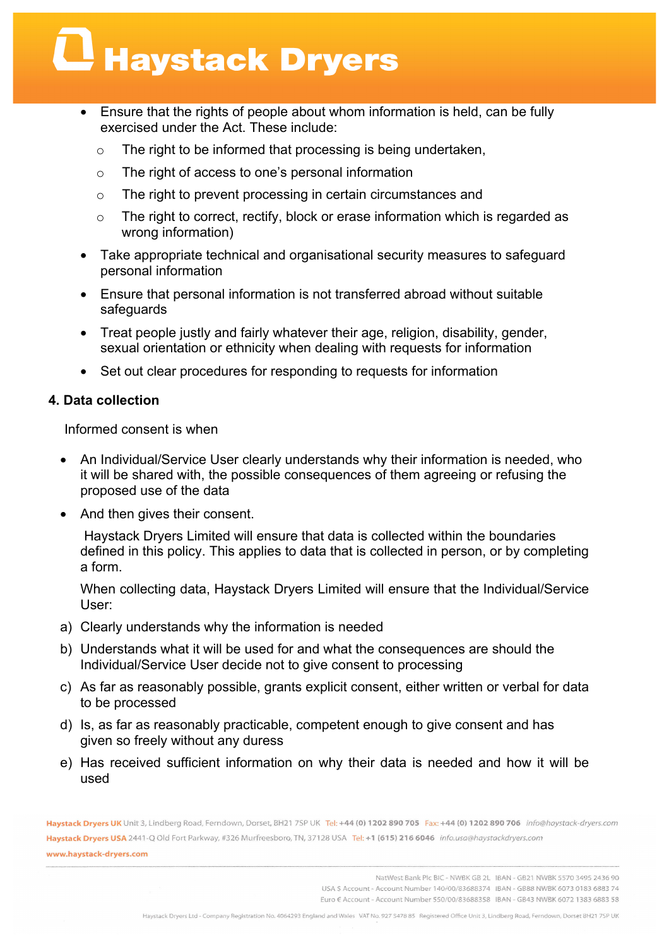### Haystack Dryers

- Ensure that the rights of people about whom information is held, can be fully exercised under the Act. These include:
	- o The right to be informed that processing is being undertaken,
	- o The right of access to one's personal information
	- o The right to prevent processing in certain circumstances and
	- o The right to correct, rectify, block or erase information which is regarded as wrong information)
- Take appropriate technical and organisational security measures to safeguard personal information
- Ensure that personal information is not transferred abroad without suitable safeguards
- Treat people justly and fairly whatever their age, religion, disability, gender, sexual orientation or ethnicity when dealing with requests for information
- Set out clear procedures for responding to requests for information

### **4. Data collection**

Informed consent is when

- An Individual/Service User clearly understands why their information is needed, who it will be shared with, the possible consequences of them agreeing or refusing the proposed use of the data
- And then gives their consent.

Haystack Dryers Limited will ensure that data is collected within the boundaries defined in this policy. This applies to data that is collected in person, or by completing a form.

When collecting data, Haystack Dryers Limited will ensure that the Individual/Service User:

- a) Clearly understands why the information is needed
- b) Understands what it will be used for and what the consequences are should the Individual/Service User decide not to give consent to processing
- c) As far as reasonably possible, grants explicit consent, either written or verbal for data to be processed
- d) Is, as far as reasonably practicable, competent enough to give consent and has given so freely without any duress
- e) Has received sufficient information on why their data is needed and how it will be used

Haystack Dryers UK Unit 3, Lindberg Road, Ferndown, Dorset, BH21 7SP UK Tel: +44 (0) 1202 890 705 Fax: +44 (0) 1202 890 706 info@haystack-dryers.com Haystack Dryers USA 2441-Q Old Fort Parkway, #326 Murfreesboro, TN, 37128 USA Tel: +1 (615) 216 6046 info.usa@haystackdryers.com www.haystack-dryers.com

> NatWest Bank Plc BIC - NWBK GB 2L IBAN - GB21 NWBK 5570 3495 2436 90 USA S Account - Account Number 140/00/83688374 IBAN - GB88 NWBK 6073 0183 6883 74 Euro € Account - Account Number 550/00/83688358 IBAN - GB43 NWBK 6072 1383 6883 58

Haystack Dryers Ltd - Company Registration No. 4064293 England and Wales VAT No. 927 5478 85 Registered Office Unit 3, Lindberg Road, Ferndown, Dorset BH21 75P UK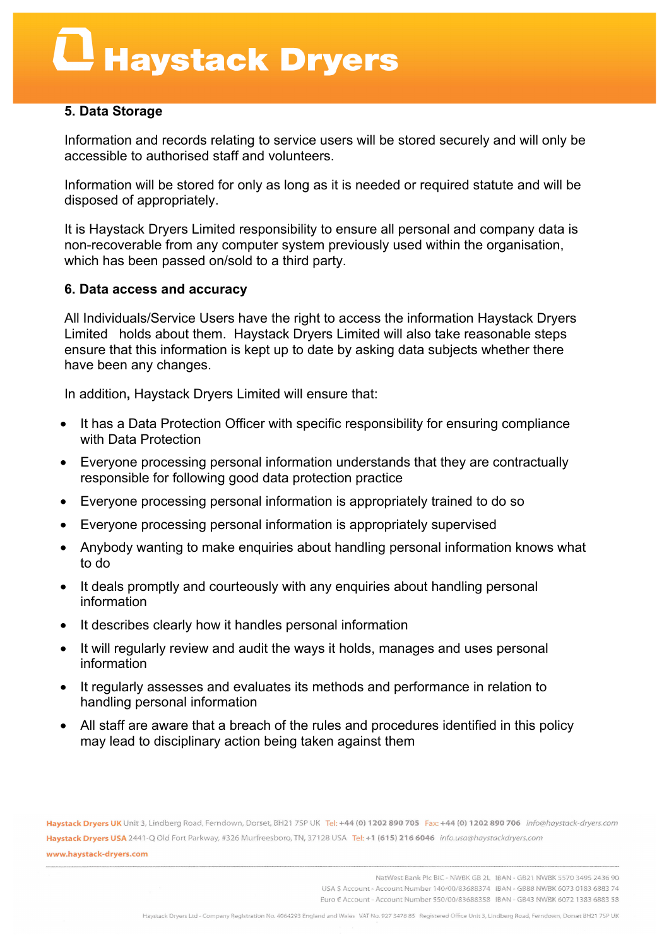## Haystack Dryers

### **5. Data Storage**

Information and records relating to service users will be stored securely and will only be accessible to authorised staff and volunteers.

Information will be stored for only as long as it is needed or required statute and will be disposed of appropriately.

It is Haystack Dryers Limited responsibility to ensure all personal and company data is non-recoverable from any computer system previously used within the organisation, which has been passed on/sold to a third party.

### **6. Data access and accuracy**

All Individuals/Service Users have the right to access the information Haystack Dryers Limited holds about them. Haystack Dryers Limited will also take reasonable steps ensure that this information is kept up to date by asking data subjects whether there have been any changes.

In addition**,** Haystack Dryers Limited will ensure that:

- It has a Data Protection Officer with specific responsibility for ensuring compliance with Data Protection
- Everyone processing personal information understands that they are contractually responsible for following good data protection practice
- Everyone processing personal information is appropriately trained to do so
- Everyone processing personal information is appropriately supervised
- Anybody wanting to make enquiries about handling personal information knows what to do
- It deals promptly and courteously with any enquiries about handling personal information
- It describes clearly how it handles personal information
- It will regularly review and audit the ways it holds, manages and uses personal information
- It regularly assesses and evaluates its methods and performance in relation to handling personal information
- All staff are aware that a breach of the rules and procedures identified in this policy may lead to disciplinary action being taken against them

Haystack Dryers UK Unit 3, Lindberg Road, Ferndown, Dorset, BH21 7SP UK Tel: +44 (0) 1202 890 705 Fax: +44 (0) 1202 890 706 info@haystack-dryers.com Haystack Dryers USA 2441-Q Old Fort Parkway, #326 Murfreesboro, TN, 37128 USA Tel: +1 (615) 216 6046 info.usa@haystackdryers.com www.haystack-dryers.com

> NatWest Bank Plc BIC - NWBK GB 2L IBAN - GB21 NWBK 5570 3495 2436 90 USA S Account - Account Number 140/00/83688374 IBAN - GB88 NWBK 6073 0183 6883 74 Euro € Account - Account Number 550/00/83688358 IBAN - GB43 NWBK 6072 1383 6883 58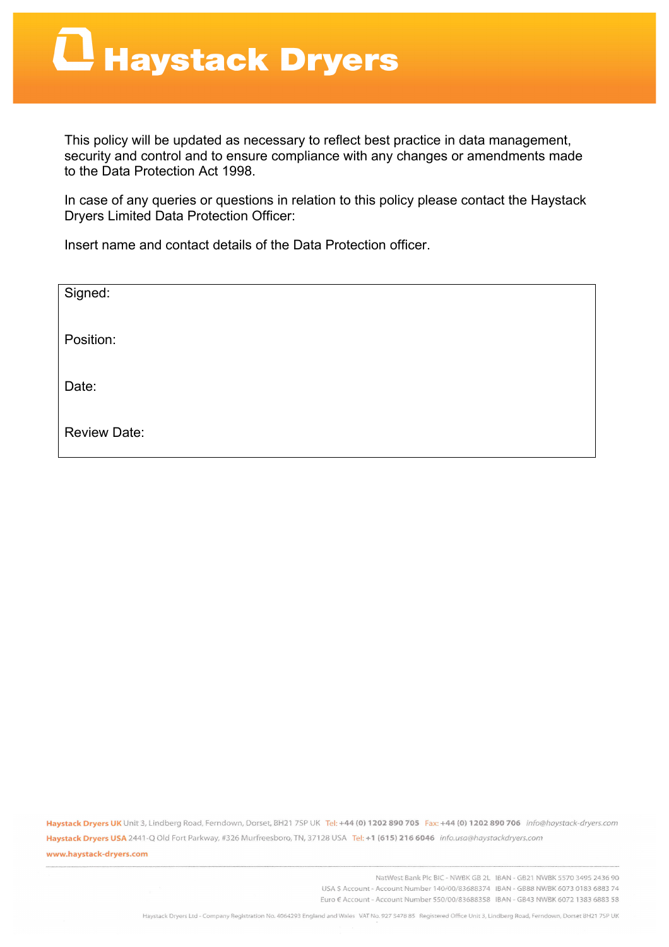This policy will be updated as necessary to reflect best practice in data management, security and control and to ensure compliance with any changes or amendments made to the Data Protection Act 1998.

In case of any queries or questions in relation to this policy please contact the Haystack Dryers Limited Data Protection Officer:

Insert name and contact details of the Data Protection officer.

| Signed:             |  |
|---------------------|--|
| Position:           |  |
| Date:               |  |
|                     |  |
| <b>Review Date:</b> |  |

Haystack Dryers UK Unit 3, Lindberg Road, Ferndown, Dorset, BH21 7SP UK Tel: +44 (0) 1202 890 705 Fax: +44 (0) 1202 890 706 info@haystack-dryers.com Haystack Dryers USA 2441-Q Old Fort Parkway, #326 Murfreesboro, TN, 37128 USA Tel: +1 (615) 216 6046 info.usa@haystackdryers.com www.haystack-dryers.com

> NatWest Bank Plc BIC - NWBK GB 2L IBAN - GB21 NWBK 5570 3495 2436 90 USA \$ Account - Account Number 140/00/83688374 IBAN - GB88 NWBK 6073 0183 6883 74 Euro € Account - Account Number 550/00/83688358 IBAN - GB43 NWBK 6072 1383 6883 58

Haystack Dryers Ltd - Company Registration No. 4064293 England and Wales VAT No. 927 5478 85 Registered Office Unit 3, Lindberg Road, Ferndown, Dorset BH21 75P UK